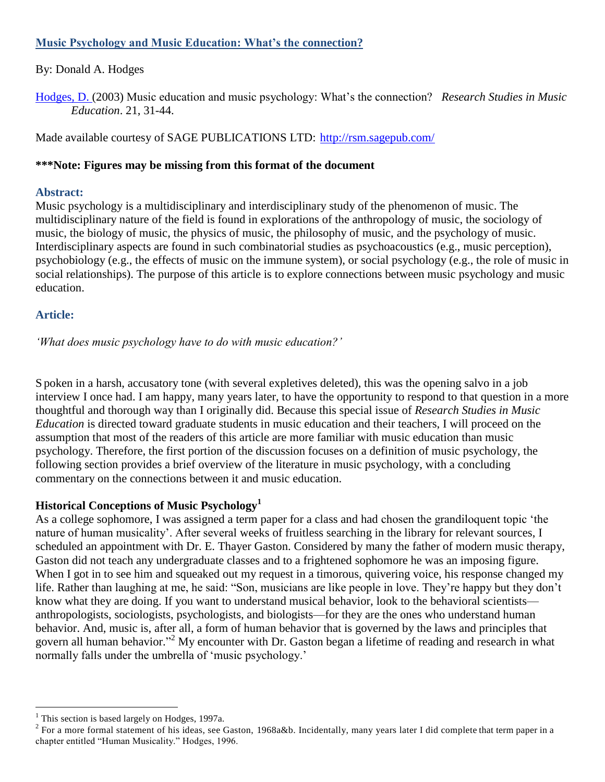## **Music Psychology and Music Education: What's the connection?**

## By: Donald A. Hodges

[Hodges, D. \(](http://libres.uncg.edu/ir/uncg/clist.aspx?id=2915)2003) Music education and music psychology: What"s the connection? *Research Studies in Music Education*. 21, 31-44.

Made available courtesy of SAGE PUBLICATIONS LTD:<http://rsm.sagepub.com/>

## **\*\*\*Note: Figures may be missing from this format of the document**

## **Abstract:**

Music psychology is a multidisciplinary and interdisciplinary study of the phenomenon of music. The multidisciplinary nature of the field is found in explorations of the anthropology of music, the sociology of music, the biology of music, the physics of music, the philosophy of music, and the psychology of music. Interdisciplinary aspects are found in such combinatorial studies as psychoacoustics (e.g., music perception), psychobiology (e.g., the effects of music on the immune system), or social psychology (e.g., the role of music in social relationships). The purpose of this article is to explore connections between music psychology and music education.

# **Article:**

*'What does music psychology have to do with music education?'*

S poken in a harsh, accusatory tone (with several expletives deleted), this was the opening salvo in a job interview I once had. I am happy, many years later, to have the opportunity to respond to that question in a more thoughtful and thorough way than I originally did. Because this special issue of *Research Studies in Music Education* is directed toward graduate students in music education and their teachers, I will proceed on the assumption that most of the readers of this article are more familiar with music education than music psychology. Therefore, the first portion of the discussion focuses on a definition of music psychology, the following section provides a brief overview of the literature in music psychology, with a concluding commentary on the connections between it and music education.

# **Historical Conceptions of Music Psychology<sup>1</sup>**

As a college sophomore, I was assigned a term paper for a class and had chosen the grandiloquent topic "the nature of human musicality". After several weeks of fruitless searching in the library for relevant sources, I scheduled an appointment with Dr. E. Thayer Gaston. Considered by many the father of modern music therapy, Gaston did not teach any undergraduate classes and to a frightened sophomore he was an imposing figure. When I got in to see him and squeaked out my request in a timorous, quivering voice, his response changed my life. Rather than laughing at me, he said: "Son, musicians are like people in love. They're happy but they don't know what they are doing. If you want to understand musical behavior, look to the behavioral scientists anthropologists, sociologists, psychologists, and biologists—for they are the ones who understand human behavior. And, music is, after all, a form of human behavior that is governed by the laws and principles that govern all human behavior."<sup>2</sup> My encounter with Dr. Gaston began a lifetime of reading and research in what normally falls under the umbrella of 'music psychology.'

 $\overline{a}$ 

 $<sup>1</sup>$  This section is based largely on Hodges, 1997a.</sup>

<sup>&</sup>lt;sup>2</sup> For a more formal statement of his ideas, see Gaston, 1968a&b. Incidentally, many years later I did complete that term paper in a chapter entitled "Human Musicality." Hodges, 1996.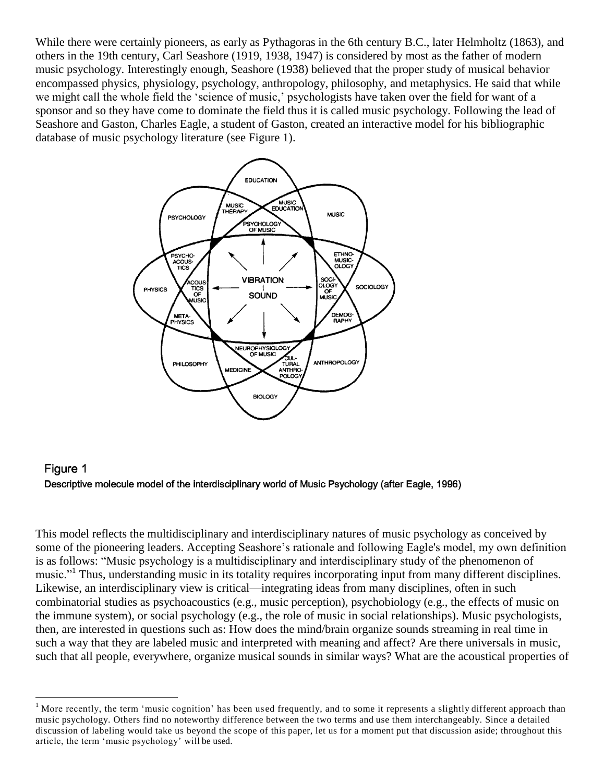While there were certainly pioneers, as early as Pythagoras in the 6th century B.C., later Helmholtz (1863), and others in the 19th century, Carl Seashore (1919, 1938, 1947) is considered by most as the father of modern music psychology. Interestingly enough, Seashore (1938) believed that the proper study of musical behavior encompassed physics, physiology, psychology, anthropology, philosophy, and metaphysics. He said that while we might call the whole field the 'science of music,' psychologists have taken over the field for want of a sponsor and so they have come to dominate the field thus it is called music psychology. Following the lead of Seashore and Gaston, Charles Eagle, a student of Gaston, created an interactive model for his bibliographic database of music psychology literature (see Figure 1).





 $\overline{a}$ 

This model reflects the multidisciplinary and interdisciplinary natures of music psychology as conceived by some of the pioneering leaders. Accepting Seashore"s rationale and following Eagle's model, my own definition is as follows: "Music psychology is a multidisciplinary and interdisciplinary study of the phenomenon of music."<sup>1</sup> Thus, understanding music in its totality requires incorporating input from many different disciplines. Likewise, an interdisciplinary view is critical—integrating ideas from many disciplines, often in such combinatorial studies as psychoacoustics (e.g., music perception), psychobiology (e.g., the effects of music on the immune system), or social psychology (e.g., the role of music in social relationships). Music psychologists, then, are interested in questions such as: How does the mind/brain organize sounds streaming in real time in such a way that they are labeled music and interpreted with meaning and affect? Are there universals in music, such that all people, everywhere, organize musical sounds in similar ways? What are the acoustical properties of

<sup>&</sup>lt;sup>1</sup> More recently, the term 'music cognition' has been used frequently, and to some it represents a slightly different approach than music psychology. Others find no noteworthy difference between the two terms and use them interchangeably. Since a detailed discussion of labeling would take us beyond the scope of this paper, let us for a moment put that discussion aside; throughout this article, the term "music psychology" will be used.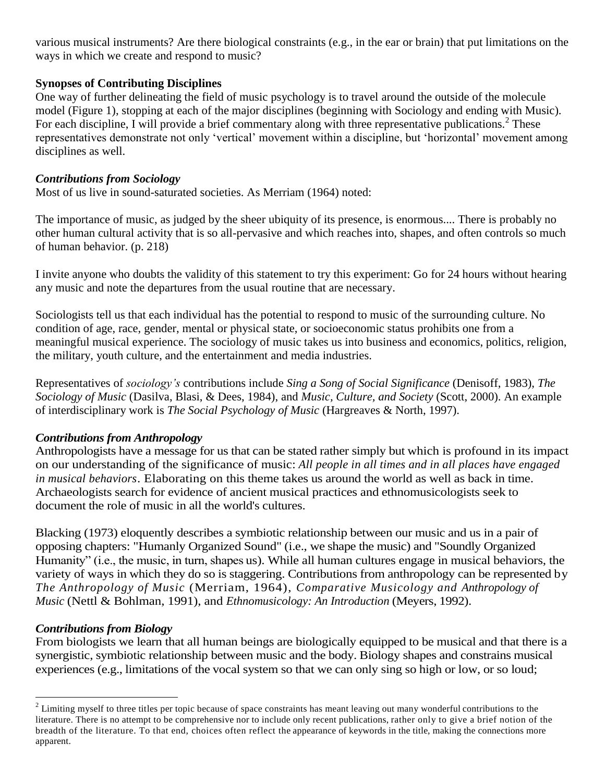various musical instruments? Are there biological constraints (e.g., in the ear or brain) that put limitations on the ways in which we create and respond to music?

## **Synopses of Contributing Disciplines**

One way of further delineating the field of music psychology is to travel around the outside of the molecule model (Figure 1), stopping at each of the major disciplines (beginning with Sociology and ending with Music). For each discipline, I will provide a brief commentary along with three representative publications.<sup>2</sup> These representatives demonstrate not only "vertical" movement within a discipline, but "horizontal" movement among disciplines as well.

## *Contributions from Sociology*

Most of us live in sound-saturated societies. As Merriam (1964) noted:

The importance of music, as judged by the sheer ubiquity of its presence, is enormous.... There is probably no other human cultural activity that is so all-pervasive and which reaches into, shapes, and often controls so much of human behavior. (p. 218)

I invite anyone who doubts the validity of this statement to try this experiment: Go for 24 hours without hearing any music and note the departures from the usual routine that are necessary.

Sociologists tell us that each individual has the potential to respond to music of the surrounding culture. No condition of age, race, gender, mental or physical state, or socioeconomic status prohibits one from a meaningful musical experience. The sociology of music takes us into business and economics, politics, religion, the military, youth culture, and the entertainment and media industries.

Representatives of *sociology's* contributions include *Sing a Song of Social Significance* (Denisoff, 1983), *The Sociology of Music* (Dasilva, Blasi, & Dees, 1984), and *Music, Culture, and Society* (Scott, 2000). An example of interdisciplinary work is *The Social Psychology of Music* (Hargreaves & North, 1997).

## *Contributions from Anthropology*

Anthropologists have a message for us that can be stated rather simply but which is profound in its impact on our understanding of the significance of music: *All people in all times and in all places have engaged in musical behaviors*. Elaborating on this theme takes us around the world as well as back in time. Archaeologists search for evidence of ancient musical practices and ethnomusicologists seek to document the role of music in all the world's cultures.

Blacking (1973) eloquently describes a symbiotic relationship between our music and us in a pair of opposing chapters: "Humanly Organized Sound" (i.e., we shape the music) and "Soundly Organized Humanity" (i.e., the music, in turn, shapes us). While all human cultures engage in musical behaviors, the variety of ways in which they do so is staggering. Contributions from anthropology can be represented by *The Anthropology of Music* (Merriam, 1964), *Comparative Musicology and Anthropology of Music* (Nettl & Bohlman, 1991), and *Ethnomusicology: An Introduction* (Meyers, 1992).

# *Contributions from Biology*

 $\overline{a}$ 

From biologists we learn that all human beings are biologically equipped to be musical and that there is a synergistic, symbiotic relationship between music and the body. Biology shapes and constrains musical experiences (e.g., limitations of the vocal system so that we can only sing so high or low, or so loud;

 $2^{2}$  Limiting myself to three titles per topic because of space constraints has meant leaving out many wonderful contributions to the literature. There is no attempt to be comprehensive nor to include only recent publications, rather only to give a brief notion of the breadth of the literature. To that end, choices often reflect the appearance of keywords in the title, making the connections more apparent.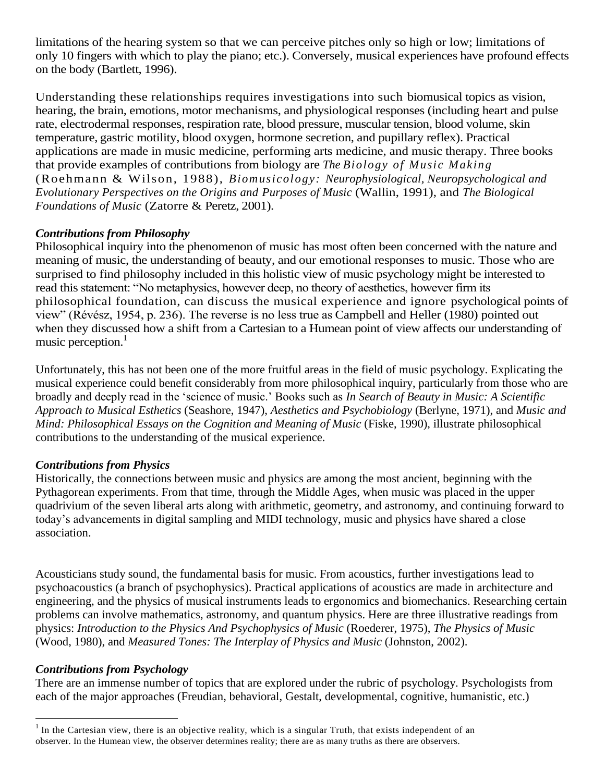limitations of the hearing system so that we can perceive pitches only so high or low; limitations of only 10 fingers with which to play the piano; etc.). Conversely, musical experiences have profound effects on the body (Bartlett, 1996).

Understanding these relationships requires investigations into such biomusical topics as vision, hearing, the brain, emotions, motor mechanisms, and physiological responses (including heart and pulse rate, electrodermal responses, respiration rate, blood pressure, muscular tension, blood volume, skin temperature, gastric motility, blood oxygen, hormone secretion, and pupillary reflex). Practical applications are made in music medicine, performing arts medicine, and music therapy. Three books that provide examples of contributions from biology are *The Biology of Music Making* (Roehmann & Wilson, 1988), *Biomusicology: Neurophysiological, Neuropsychological and Evolutionary Perspectives on the Origins and Purposes of Music* (Wallin, 1991), and *The Biological Foundations of Music* (Zatorre & Peretz, 2001).

## *Contributions from Philosophy*

Philosophical inquiry into the phenomenon of music has most often been concerned with the nature and meaning of music, the understanding of beauty, and our emotional responses to music. Those who are surprised to find philosophy included in this holistic view of music psychology might be interested to read this statement: "No metaphysics, however deep, no theory of aesthetics, however firm its philosophical foundation, can discuss the musical experience and ignore psychological points of view" (Révész, 1954, p. 236). The reverse is no less true as Campbell and Heller (1980) pointed out when they discussed how a shift from a Cartesian to a Humean point of view affects our understanding of music perception.<sup>1</sup>

Unfortunately, this has not been one of the more fruitful areas in the field of music psychology. Explicating the musical experience could benefit considerably from more philosophical inquiry, particularly from those who are broadly and deeply read in the "science of music." Books such as *In Search of Beauty in Music: A Scientific Approach to Musical Esthetics* (Seashore, 1947), *Aesthetics and Psychobiology* (Berlyne, 1971), and *Music and Mind: Philosophical Essays on the Cognition and Meaning of Music* (Fiske, 1990), illustrate philosophical contributions to the understanding of the musical experience.

## *Contributions from Physics*

Historically, the connections between music and physics are among the most ancient, beginning with the Pythagorean experiments. From that time, through the Middle Ages, when music was placed in the upper quadrivium of the seven liberal arts along with arithmetic, geometry, and astronomy, and continuing forward to today"s advancements in digital sampling and MIDI technology, music and physics have shared a close association.

Acousticians study sound, the fundamental basis for music. From acoustics, further investigations lead to psychoacoustics (a branch of psychophysics). Practical applications of acoustics are made in architecture and engineering, and the physics of musical instruments leads to ergonomics and biomechanics. Researching certain problems can involve mathematics, astronomy, and quantum physics. Here are three illustrative readings from physics: *Introduction to the Physics And Psychophysics of Music* (Roederer, 1975), *The Physics of Music*  (Wood, 1980), and *Measured Tones: The Interplay of Physics and Music* (Johnston, 2002).

#### *Contributions from Psychology*

 $\overline{a}$ 

There are an immense number of topics that are explored under the rubric of psychology. Psychologists from each of the major approaches (Freudian, behavioral, Gestalt, developmental, cognitive, humanistic, etc.)

 $<sup>1</sup>$  In the Cartesian view, there is an objective reality, which is a singular Truth, that exists independent of an</sup> observer. In the Humean view, the observer determines reality; there are as many truths as there are observers.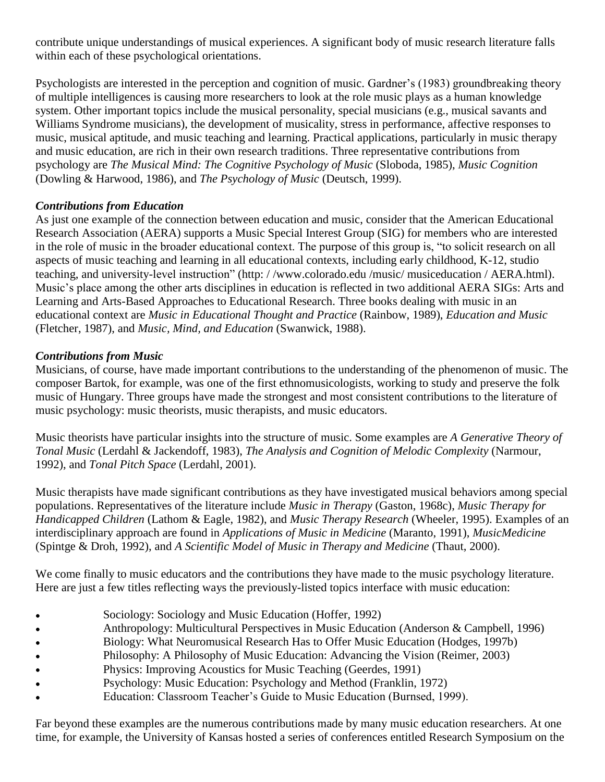contribute unique understandings of musical experiences. A significant body of music research literature falls within each of these psychological orientations.

Psychologists are interested in the perception and cognition of music. Gardner"s (1983) groundbreaking theory of multiple intelligences is causing more researchers to look at the role music plays as a human knowledge system. Other important topics include the musical personality, special musicians (e.g., musical savants and Williams Syndrome musicians), the development of musicality, stress in performance, affective responses to music, musical aptitude, and music teaching and learning. Practical applications, particularly in music therapy and music education, are rich in their own research traditions. Three representative contributions from psychology are *The Musical Mind: The Cognitive Psychology of Music* (Sloboda, 1985), *Music Cognition* (Dowling & Harwood, 1986), and *The Psychology of Music* (Deutsch, 1999).

# *Contributions from Education*

As just one example of the connection between education and music, consider that the American Educational Research Association (AERA) supports a Music Special Interest Group (SIG) for members who are interested in the role of music in the broader educational context. The purpose of this group is, "to solicit research on all aspects of music teaching and learning in all educational contexts, including early childhood, K-12, studio teaching, and university-level instruction" (http: / /www.colorado.edu /music/ musiceducation / AERA.html). Music"s place among the other arts disciplines in education is reflected in two additional AERA SIGs: Arts and Learning and Arts-Based Approaches to Educational Research. Three books dealing with music in an educational context are *Music in Educational Thought and Practice* (Rainbow, 1989), *Education and Music* (Fletcher, 1987), and *Music, Mind, and Education* (Swanwick, 1988).

## *Contributions from Music*

Musicians, of course, have made important contributions to the understanding of the phenomenon of music. The composer Bartok, for example, was one of the first ethnomusicologists, working to study and preserve the folk music of Hungary. Three groups have made the strongest and most consistent contributions to the literature of music psychology: music theorists, music therapists, and music educators.

Music theorists have particular insights into the structure of music. Some examples are *A Generative Theory of Tonal Music* (Lerdahl & Jackendoff, 1983), *The Analysis and Cognition of Melodic Complexity* (Narmour, 1992), and *Tonal Pitch Space* (Lerdahl, 2001).

Music therapists have made significant contributions as they have investigated musical behaviors among special populations. Representatives of the literature include *Music in Therapy* (Gaston, 1968c), *Music Therapy for Handicapped Children* (Lathom & Eagle, 1982), and *Music Therapy Research* (Wheeler, 1995). Examples of an interdisciplinary approach are found in *Applications of Music in Medicine* (Maranto, 1991), *MusicMedicine* (Spintge & Droh, 1992), and *A Scientific Model of Music in Therapy and Medicine* (Thaut, 2000).

We come finally to music educators and the contributions they have made to the music psychology literature. Here are just a few titles reflecting ways the previously-listed topics interface with music education:

- Sociology: Sociology and Music Education (Hoffer, 1992)  $\bullet$
- Anthropology: Multicultural Perspectives in Music Education (Anderson & Campbell, 1996)
- Biology: What Neuromusical Research Has to Offer Music Education (Hodges, 1997b)  $\bullet$
- Philosophy: A Philosophy of Music Education: Advancing the Vision (Reimer, 2003)  $\bullet$
- Physics: Improving Acoustics for Music Teaching (Geerdes, 1991)  $\bullet$
- Psychology: Music Education: Psychology and Method (Franklin, 1972)  $\bullet$
- Education: Classroom Teacher"s Guide to Music Education (Burnsed, 1999).

Far beyond these examples are the numerous contributions made by many music education researchers. At one time, for example, the University of Kansas hosted a series of conferences entitled Research Symposium on the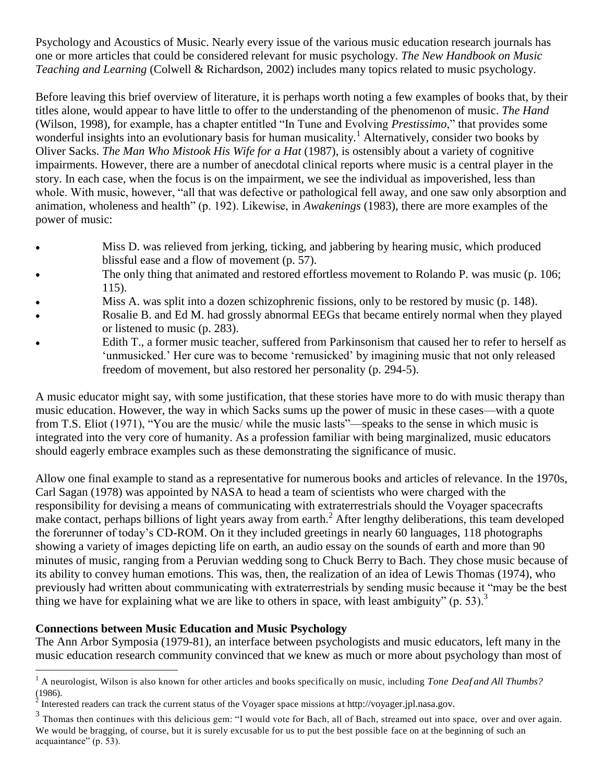Psychology and Acoustics of Music. Nearly every issue of the various music education research journals has one or more articles that could be considered relevant for music psychology. *The New Handbook on Music Teaching and Learning* (Colwell & Richardson, 2002) includes many topics related to music psychology.

Before leaving this brief overview of literature, it is perhaps worth noting a few examples of books that, by their titles alone, would appear to have little to offer to the understanding of the phenomenon of music. *The Hand* (Wilson, 1998), for example, has a chapter entitled "In Tune and Evolving *Prestissimo*," that provides some wonderful insights into an evolutionary basis for human musicality.<sup>1</sup> Alternatively, consider two books by Oliver Sacks. *The Man Who Mistook His Wife for a Hat* (1987), is ostensibly about a variety of cognitive impairments. However, there are a number of anecdotal clinical reports where music is a central player in the story. In each case, when the focus is on the impairment, we see the individual as impoverished, less than whole. With music, however, "all that was defective or pathological fell away, and one saw only absorption and animation, wholeness and health" (p. 192). Likewise, in *Awakenings* (1983), there are more examples of the power of music:

- Miss D. was relieved from jerking, ticking, and jabbering by hearing music, which produced blissful ease and a flow of movement (p. 57).
- The only thing that animated and restored effortless movement to Rolando P. was music (p. 106; 115).
- Miss A. was split into a dozen schizophrenic fissions, only to be restored by music (p. 148).
	- Rosalie B. and Ed M. had grossly abnormal EEGs that became entirely normal when they played or listened to music (p. 283).
- Edith T., a former music teacher, suffered from Parkinsonism that caused her to refer to herself as 'unmusicked.' Her cure was to become 'remusicked' by imagining music that not only released freedom of movement, but also restored her personality (p. 294-5).

A music educator might say, with some justification, that these stories have more to do with music therapy than music education. However, the way in which Sacks sums up the power of music in these cases—with a quote from T.S. Eliot (1971), "You are the music/ while the music lasts"—speaks to the sense in which music is integrated into the very core of humanity. As a profession familiar with being marginalized, music educators should eagerly embrace examples such as these demonstrating the significance of music.

Allow one final example to stand as a representative for numerous books and articles of relevance. In the 1970s, Carl Sagan (1978) was appointed by NASA to head a team of scientists who were charged with the responsibility for devising a means of communicating with extraterrestrials should the Voyager spacecrafts make contact, perhaps billions of light years away from earth.<sup>2</sup> After lengthy deliberations, this team developed the forerunner of today"s CD-ROM. On it they included greetings in nearly 60 languages, 118 photographs showing a variety of images depicting life on earth, an audio essay on the sounds of earth and more than 90 minutes of music, ranging from a Peruvian wedding song to Chuck Berry to Bach. They chose music because of its ability to convey human emotions. This was, then, the realization of an idea of Lewis Thomas (1974), who previously had written about communicating with extraterrestrials by sending music because it "may be the best thing we have for explaining what we are like to others in space, with least ambiguity" (p. 53).<sup>3</sup>

## **Connections between Music Education and Music Psychology**

 $\overline{a}$ 

The Ann Arbor Symposia (1979-81), an interface between psychologists and music educators, left many in the music education research community convinced that we knew as much or more about psychology than most of

<sup>1</sup> A neurologist, Wilson is also known for other articles and books specifically on music, including *Tone Deaf and All Thumbs?* (1986).

<sup>&</sup>lt;sup>2</sup> Interested readers can track the current status of the Voyager space missions at http://voyager.jpl.nasa.gov.

 $3$  Thomas then continues with this delicious gem: "I would vote for Bach, all of Bach, streamed out into space, over and over again. We would be bragging, of course, but it is surely excusable for us to put the best possible face on at the beginning of such an acquaintance" (p. 53).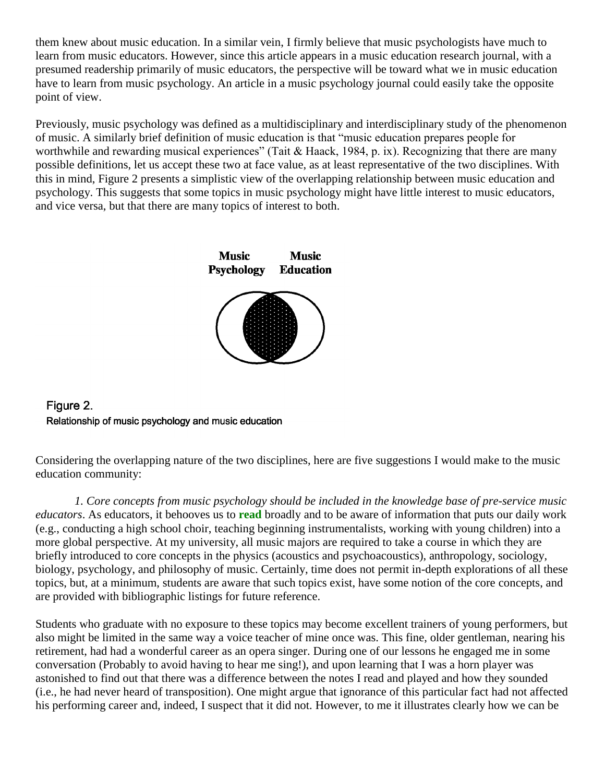them knew about music education. In a similar vein, I firmly believe that music psychologists have much to learn from music educators. However, since this article appears in a music education research journal, with a presumed readership primarily of music educators, the perspective will be toward what we in music education have to learn from music psychology. An article in a music psychology journal could easily take the opposite point of view.

Previously, music psychology was defined as a multidisciplinary and interdisciplinary study of the phenomenon of music. A similarly brief definition of music education is that "music education prepares people for worthwhile and rewarding musical experiences" (Tait & Haack, 1984, p. ix). Recognizing that there are many possible definitions, let us accept these two at face value, as at least representative of the two disciplines. With this in mind, Figure 2 presents a simplistic view of the overlapping relationship between music education and psychology. This suggests that some topics in music psychology might have little interest to music educators, and vice versa, but that there are many topics of interest to both.



Figure 2. Relationship of music psychology and music education

Considering the overlapping nature of the two disciplines, here are five suggestions I would make to the music education community:

*1. Core concepts from music psychology should be included in the knowledge base of pre-service music educators*. As educators, it behooves us to **read** broadly and to be aware of information that puts our daily work (e.g., conducting a high school choir, teaching beginning instrumentalists, working with young children) into a more global perspective. At my university, all music majors are required to take a course in which they are briefly introduced to core concepts in the physics (acoustics and psychoacoustics), anthropology, sociology, biology, psychology, and philosophy of music. Certainly, time does not permit in-depth explorations of all these topics, but, at a minimum, students are aware that such topics exist, have some notion of the core concepts, and are provided with bibliographic listings for future reference.

Students who graduate with no exposure to these topics may become excellent trainers of young performers, but also might be limited in the same way a voice teacher of mine once was. This fine, older gentleman, nearing his retirement, had had a wonderful career as an opera singer. During one of our lessons he engaged me in some conversation (Probably to avoid having to hear me sing!), and upon learning that I was a horn player was astonished to find out that there was a difference between the notes I read and played and how they sounded (i.e., he had never heard of transposition). One might argue that ignorance of this particular fact had not affected his performing career and, indeed, I suspect that it did not. However, to me it illustrates clearly how we can be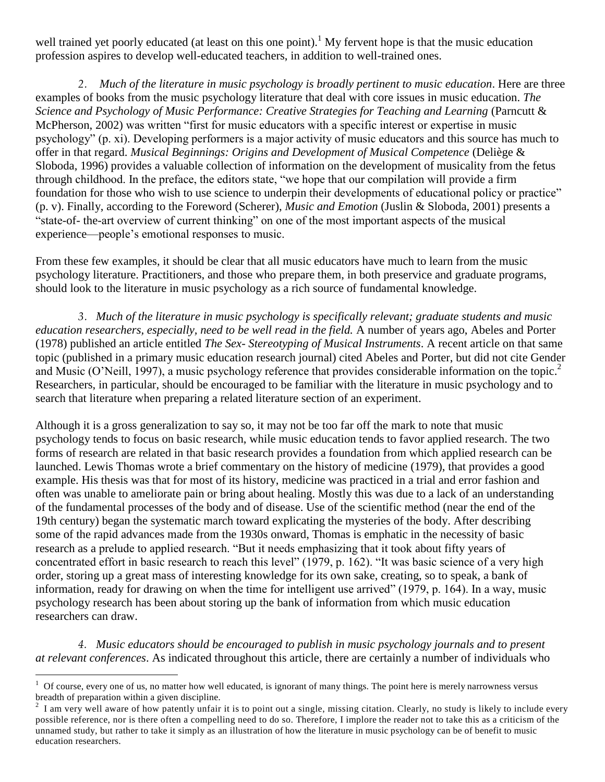well trained yet poorly educated (at least on this one point).<sup>1</sup> My fervent hope is that the music education profession aspires to develop well-educated teachers, in addition to well-trained ones.

*2. Much of the literature in music psychology is broadly pertinent to music education*. Here are three examples of books from the music psychology literature that deal with core issues in music education. *The Science and Psychology of Music Performance: Creative Strategies for Teaching and Learning* (Parncutt & McPherson, 2002) was written "first for music educators with a specific interest or expertise in music psychology" (p. xi). Developing performers is a major activity of music educators and this source has much to offer in that regard. *Musical Beginnings: Origins and Development of Musical Competence* (Deliège & Sloboda, 1996) provides a valuable collection of information on the development of musicality from the fetus through childhood. In the preface, the editors state, "we hope that our compilation will provide a firm foundation for those who wish to use science to underpin their developments of educational policy or practice" (p. v). Finally, according to the Foreword (Scherer), *Music and Emotion* (Juslin & Sloboda, 2001) presents a "state-of- the-art overview of current thinking" on one of the most important aspects of the musical experience—people"s emotional responses to music.

From these few examples, it should be clear that all music educators have much to learn from the music psychology literature. Practitioners, and those who prepare them, in both preservice and graduate programs, should look to the literature in music psychology as a rich source of fundamental knowledge.

*3. Much of the literature in music psychology is specifically relevant; graduate students and music education researchers, especially, need to be well read in the field.* A number of years ago, Abeles and Porter (1978) published an article entitled *The Sex- Stereotyping of Musical Instruments*. A recent article on that same topic (published in a primary music education research journal) cited Abeles and Porter, but did not cite Gender and Music (O'Neill, 1997), a music psychology reference that provides considerable information on the topic.<sup>2</sup> Researchers, in particular, should be encouraged to be familiar with the literature in music psychology and to search that literature when preparing a related literature section of an experiment.

Although it is a gross generalization to say so, it may not be too far off the mark to note that music psychology tends to focus on basic research, while music education tends to favor applied research. The two forms of research are related in that basic research provides a foundation from which applied research can be launched. Lewis Thomas wrote a brief commentary on the history of medicine (1979), that provides a good example. His thesis was that for most of its history, medicine was practiced in a trial and error fashion and often was unable to ameliorate pain or bring about healing. Mostly this was due to a lack of an understanding of the fundamental processes of the body and of disease. Use of the scientific method (near the end of the 19th century) began the systematic march toward explicating the mysteries of the body. After describing some of the rapid advances made from the 1930s onward, Thomas is emphatic in the necessity of basic research as a prelude to applied research. "But it needs emphasizing that it took about fifty years of concentrated effort in basic research to reach this level" (1979, p. 162). "It was basic science of a very high order, storing up a great mass of interesting knowledge for its own sake, creating, so to speak, a bank of information, ready for drawing on when the time for intelligent use arrived" (1979, p. 164). In a way, music psychology research has been about storing up the bank of information from which music education researchers can draw.

*4. Music educators should be encouraged to publish in music psychology journals and to present at relevant conferences*. As indicated throughout this article, there are certainly a number of individuals who

 $\overline{a}$ 

 $<sup>1</sup>$  Of course, every one of us, no matter how well educated, is ignorant of many things. The point here is merely narrowness versus</sup> breadth of preparation within a given discipline.

 $2\,$  I am very well aware of how patently unfair it is to point out a single, missing citation. Clearly, no study is likely to include every possible reference, nor is there often a compelling need to do so. Therefore, I implore the reader not to take this as a criticism of the unnamed study, but rather to take it simply as an illustration of how the literature in music psychology can be of benefit to music education researchers.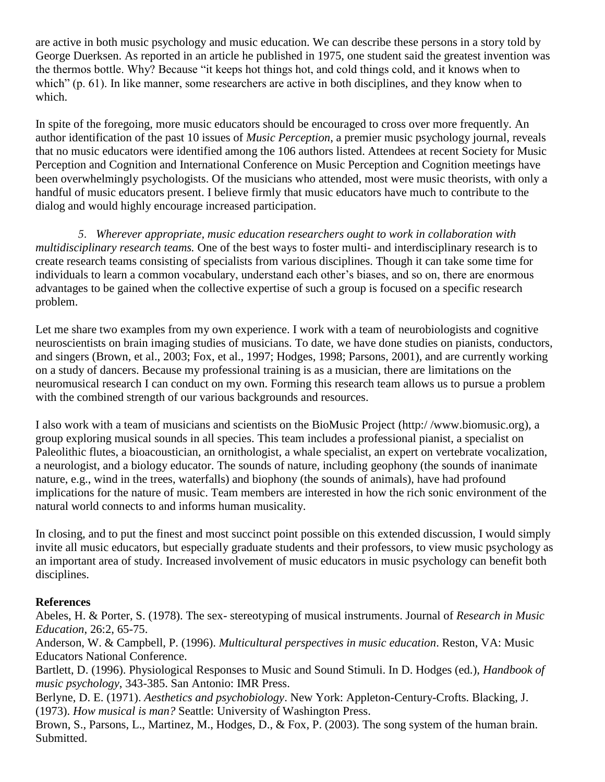are active in both music psychology and music education. We can describe these persons in a story told by George Duerksen. As reported in an article he published in 1975, one student said the greatest invention was the thermos bottle. Why? Because "it keeps hot things hot, and cold things cold, and it knows when to which" (p. 61). In like manner, some researchers are active in both disciplines, and they know when to which.

In spite of the foregoing, more music educators should be encouraged to cross over more frequently. An author identification of the past 10 issues of *Music Perception*, a premier music psychology journal, reveals that no music educators were identified among the 106 authors listed. Attendees at recent Society for Music Perception and Cognition and International Conference on Music Perception and Cognition meetings have been overwhelmingly psychologists. Of the musicians who attended, most were music theorists, with only a handful of music educators present. I believe firmly that music educators have much to contribute to the dialog and would highly encourage increased participation.

*5. Wherever appropriate, music education researchers ought to work in collaboration with multidisciplinary research teams.* One of the best ways to foster multi- and interdisciplinary research is to create research teams consisting of specialists from various disciplines. Though it can take some time for individuals to learn a common vocabulary, understand each other's biases, and so on, there are enormous advantages to be gained when the collective expertise of such a group is focused on a specific research problem.

Let me share two examples from my own experience. I work with a team of neurobiologists and cognitive neuroscientists on brain imaging studies of musicians. To date, we have done studies on pianists, conductors, and singers (Brown, et al., 2003; Fox, et al., 1997; Hodges, 1998; Parsons, 2001), and are currently working on a study of dancers. Because my professional training is as a musician, there are limitations on the neuromusical research I can conduct on my own. Forming this research team allows us to pursue a problem with the combined strength of our various backgrounds and resources.

I also work with a team of musicians and scientists on the BioMusic Project (http:/ /www.biomusic.org), a group exploring musical sounds in all species. This team includes a professional pianist, a specialist on Paleolithic flutes, a bioacoustician, an ornithologist, a whale specialist, an expert on vertebrate vocalization, a neurologist, and a biology educator. The sounds of nature, including geophony (the sounds of inanimate nature, e.g., wind in the trees, waterfalls) and biophony (the sounds of animals), have had profound implications for the nature of music. Team members are interested in how the rich sonic environment of the natural world connects to and informs human musicality.

In closing, and to put the finest and most succinct point possible on this extended discussion, I would simply invite all music educators, but especially graduate students and their professors, to view music psychology as an important area of study. Increased involvement of music educators in music psychology can benefit both disciplines.

## **References**

Abeles, H. & Porter, S. (1978). The sex- stereotyping of musical instruments. Journal of *Research in Music Education*, 26:2, 65-75.

Anderson, W. & Campbell, P. (1996). *Multicultural perspectives in music education*. Reston, VA: Music Educators National Conference.

Bartlett, D. (1996). Physiological Responses to Music and Sound Stimuli. In D. Hodges (ed.), *Handbook of music psychology*, 343-385. San Antonio: IMR Press.

Berlyne, D. E. (1971). *Aesthetics and psychobiology*. New York: Appleton-Century-Crofts. Blacking, J. (1973). *How musical is man?* Seattle: University of Washington Press.

Brown, S., Parsons, L., Martinez, M., Hodges, D., & Fox, P. (2003). The song system of the human brain. Submitted.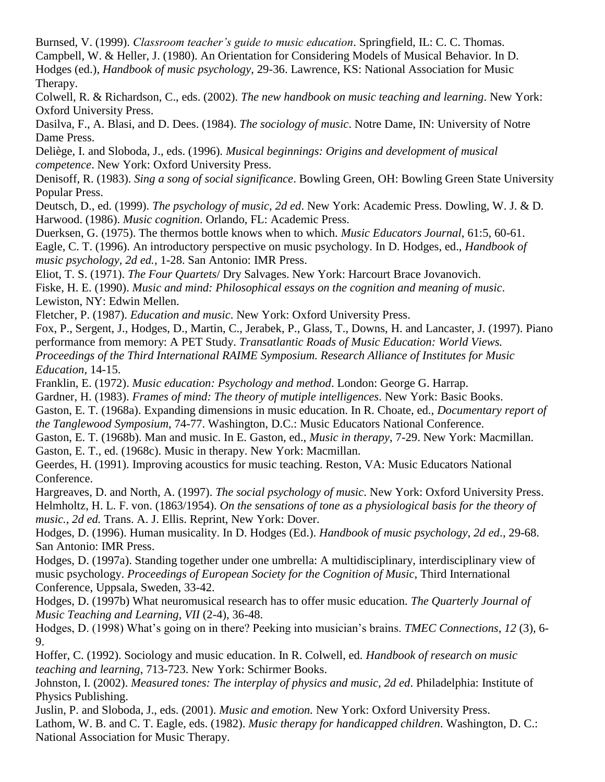Burnsed, V. (1999). *Classroom teacher's guide to music education*. Springfield, IL: C. C. Thomas.

Campbell, W. & Heller, J. (1980). An Orientation for Considering Models of Musical Behavior. In D. Hodges (ed.), *Handbook of music psychology*, 29-36. Lawrence, KS: National Association for Music Therapy.

Colwell, R. & Richardson, C., eds. (2002). *The new handbook on music teaching and learning*. New York: Oxford University Press.

Dasilva, F., A. Blasi, and D. Dees. (1984). *The sociology of music*. Notre Dame, IN: University of Notre Dame Press.

Deliège, I. and Sloboda, J., eds. (1996). *Musical beginnings: Origins and development of musical competence*. New York: Oxford University Press.

Denisoff, R. (1983). *Sing a song of social significance*. Bowling Green, OH: Bowling Green State University Popular Press.

Deutsch, D., ed. (1999). *The psychology of music, 2d ed*. New York: Academic Press. Dowling, W. J. & D. Harwood. (1986). *Music cognition*. Orlando, FL: Academic Press.

Duerksen, G. (1975). The thermos bottle knows when to which. *Music Educators Journal*, 61:5, 60-61. Eagle, C. T. (1996). An introductory perspective on music psychology. In D. Hodges, ed., *Handbook of music psychology, 2d ed.,* 1-28. San Antonio: IMR Press.

Eliot, T. S. (1971). *The Four Quartets*/ Dry Salvages. New York: Harcourt Brace Jovanovich. Fiske, H. E. (1990). *Music and mind: Philosophical essays on the cognition and meaning of music*. Lewiston, NY: Edwin Mellen.

Fletcher, P. (1987). *Education and music*. New York: Oxford University Press.

Fox, P., Sergent, J., Hodges, D., Martin, C., Jerabek, P., Glass, T., Downs, H. and Lancaster, J. (1997). Piano performance from memory: A PET Study. *Transatlantic Roads of Music Education: World Views. Proceedings of the Third International RAIME Symposium. Research Alliance of Institutes for Music Education*, 14-15.

Franklin, E. (1972). *Music education: Psychology and method*. London: George G. Harrap.

Gardner, H. (1983). *Frames of mind: The theory of mutiple intelligences*. New York: Basic Books.

Gaston, E. T. (1968a). Expanding dimensions in music education. In R. Choate, ed., *Documentary report of the Tanglewood Symposium*, 74-77. Washington, D.C.: Music Educators National Conference.

Gaston, E. T. (1968b). Man and music. In E. Gaston, ed., *Music in therapy*, 7-29. New York: Macmillan. Gaston, E. T., ed. (1968c). Music in therapy. New York: Macmillan.

Geerdes, H. (1991). Improving acoustics for music teaching. Reston, VA: Music Educators National Conference.

Hargreaves, D. and North, A. (1997). *The social psychology of music*. New York: Oxford University Press. Helmholtz, H. L. F. von. (1863/1954). *On the sensations of tone as a physiological basis for the theory of music., 2d ed.* Trans. A. J. Ellis. Reprint, New York: Dover.

Hodges, D. (1996). Human musicality. In D. Hodges (Ed.). *Handbook of music psychology, 2d ed*., 29-68. San Antonio: IMR Press.

Hodges, D. (1997a). Standing together under one umbrella: A multidisciplinary, interdisciplinary view of music psychology. *Proceedings of European Society for the Cognition of Music*, Third International Conference, Uppsala, Sweden, 33-42.

Hodges, D. (1997b) What neuromusical research has to offer music education. *The Quarterly Journal of Music Teaching and Learning, VII* (2-4), 36-48.

Hodges, D. (1998) What"s going on in there? Peeking into musician"s brains. *TMEC Connections*, *12* (3), 6- 9.

Hoffer, C. (1992). Sociology and music education. In R. Colwell, ed. *Handbook of research on music teaching and learning*, 713-723. New York: Schirmer Books.

Johnston, I. (2002). *Measured tones: The interplay of physics and music, 2d ed*. Philadelphia: Institute of Physics Publishing.

Juslin, P. and Sloboda, J., eds. (2001). *Music and emotion.* New York: Oxford University Press. Lathom, W. B. and C. T. Eagle, eds. (1982). *Music therapy for handicapped children*. Washington, D. C.: National Association for Music Therapy.